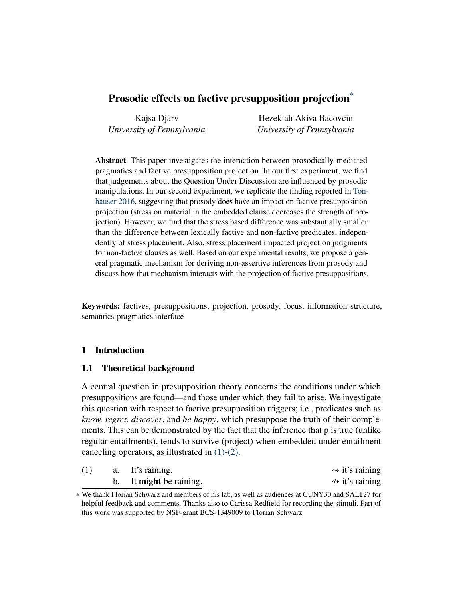# Prosodic effects on factive presupposition projection<sup>\*</sup>

Kajsa Djärv *University of Pennsylvania*

Hezekiah Akiva Bacovcin *University of Pennsylvania*

Abstract This paper investigates the interaction between prosodically-mediated pragmatics and factive presupposition projection. In our first experiment, we find that judgements about the Question Under Discussion are influenced by prosodic manipulations. In our second experiment, we replicate the finding reported in [Ton](#page-23-0)[hauser](#page-23-0) [2016,](#page-23-0) suggesting that prosody does have an impact on factive presupposition projection (stress on material in the embedded clause decreases the strength of projection). However, we find that the stress based difference was substantially smaller than the difference between lexically factive and non-factive predicates, independently of stress placement. Also, stress placement impacted projection judgments for non-factive clauses as well. Based on our experimental results, we propose a general pragmatic mechanism for deriving non-assertive inferences from prosody and discuss how that mechanism interacts with the projection of factive presuppositions.

Keywords: factives, presuppositions, projection, prosody, focus, information structure, semantics-pragmatics interface

# 1 Introduction

# <span id="page-0-2"></span>1.1 Theoretical background

A central question in presupposition theory concerns the conditions under which presuppositions are found—and those under which they fail to arise. We investigate this question with respect to factive presupposition triggers; i.e., predicates such as *know, regret, discover*, and *be happy*, which presuppose the truth of their complements. This can be demonstrated by the fact that the inference that p is true (unlike regular entailments), tends to survive (project) when embedded under entailment canceling operators, as illustrated in [\(1\)](#page-0-0)[-\(2\).](#page-0-1)

<span id="page-0-0"></span>

|  | a. It's raining.               | $\rightarrow$ it's raining      |
|--|--------------------------------|---------------------------------|
|  | b. It <b>might</b> be raining. | $\rightsquigarrow$ it's raining |

<span id="page-0-1"></span><sup>\*</sup> We thank Florian Schwarz and members of his lab, as well as audiences at CUNY30 and SALT27 for helpful feedback and comments. Thanks also to Carissa Redfield for recording the stimuli. Part of this work was supported by NSF-grant BCS-1349009 to Florian Schwarz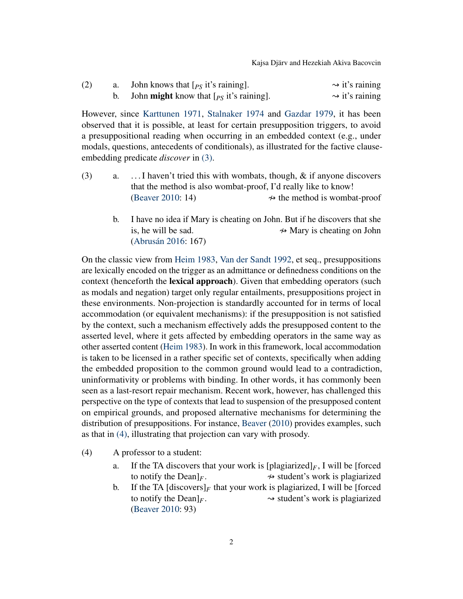Kajsa Djärv and Hezekiah Akiva Bacovcin

| (2) | John knows that $[\rho_S]$ it's raining.          | $\rightarrow$ it's raining |
|-----|---------------------------------------------------|----------------------------|
|     | John <b>might</b> know that $[p_S]$ it's raining. | $\rightarrow$ it's raining |

However, since [Karttunen](#page-22-0) [1971,](#page-22-0) [Stalnaker](#page-23-1) [1974](#page-23-1) and [Gazdar](#page-22-1) [1979,](#page-22-1) it has been observed that it is possible, at least for certain presupposition triggers, to avoid a presuppositional reading when occurring in an embedded context (e.g., under modals, questions, antecedents of conditionals), as illustrated for the factive clauseembedding predicate *discover* in [\(3\).](#page-1-0)

- <span id="page-1-0"></span>(3) a. . . . I haven't tried this with wombats, though, & if anyone discovers that the method is also wombat-proof, I'd really like to know! [\(Beaver](#page-21-0) [2010:](#page-21-0) 14)  $\rightarrow$  the method is wombat-proof
	- b. I have no idea if Mary is cheating on John. But if he discovers that she is, he will be sad.  $\rightarrow$  Mary is cheating on John [\(Abrusán](#page-21-1) [2016:](#page-21-1) 167)

On the classic view from [Heim](#page-22-2) [1983,](#page-22-2) [Van der Sandt](#page-22-3) [1992,](#page-22-3) et seq., presuppositions are lexically encoded on the trigger as an admittance or definedness conditions on the context (henceforth the lexical approach). Given that embedding operators (such as modals and negation) target only regular entailments, presuppositions project in these environments. Non-projection is standardly accounted for in terms of local accommodation (or equivalent mechanisms): if the presupposition is not satisfied by the context, such a mechanism effectively adds the presupposed content to the asserted level, where it gets affected by embedding operators in the same way as other asserted content [\(Heim](#page-22-2) [1983\)](#page-22-2). In work in this framework, local accommodation is taken to be licensed in a rather specific set of contexts, specifically when adding the embedded proposition to the common ground would lead to a contradiction, uninformativity or problems with binding. In other words, it has commonly been seen as a last-resort repair mechanism. Recent work, however, has challenged this perspective on the type of contexts that lead to suspension of the presupposed content on empirical grounds, and proposed alternative mechanisms for determining the distribution of presuppositions. For instance, [Beaver](#page-21-0) [\(2010\)](#page-21-0) provides examples, such as that in [\(4\),](#page-1-1) illustrating that projection can vary with prosody.

- <span id="page-1-1"></span>(4) A professor to a student:
	- a. If the TA discovers that your work is  $[\text{plagiarized}]_F$ , I will be [forced] to notify the Dean $\vert_F$ .  $\rightarrow$  student's work is plagiarized
	- b. If the TA  $\left[\text{discovery}\right]_F$  that your work is plagiarized, I will be [forced] to notify the Dean $]_F$ .  $\rightarrow$  student's work is plagiarized [\(Beaver](#page-21-0) [2010:](#page-21-0) 93)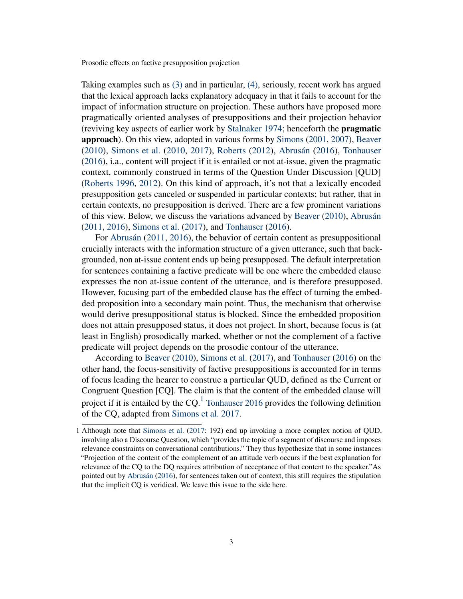Taking examples such as [\(3\)](#page-1-0) and in particular, [\(4\),](#page-1-1) seriously, recent work has argued that the lexical approach lacks explanatory adequacy in that it fails to account for the impact of information structure on projection. These authors have proposed more pragmatically oriented analyses of presuppositions and their projection behavior (reviving key aspects of earlier work by [Stalnaker](#page-23-1) [1974;](#page-23-1) henceforth the pragmatic approach). On this view, adopted in various forms by [Simons](#page-22-4) [\(2001,](#page-22-4) [2007\)](#page-23-2), [Beaver](#page-21-0) [\(2010\)](#page-21-0), [Simons et al.](#page-23-3) [\(2010,](#page-23-3) [2017\)](#page-23-4), [Roberts](#page-22-5) [\(2012\)](#page-22-5), [Abrusán](#page-21-1) [\(2016\)](#page-21-1), [Tonhauser](#page-23-0) [\(2016\)](#page-23-0), i.a., content will project if it is entailed or not at-issue, given the pragmatic context, commonly construed in terms of the Question Under Discussion [QUD] [\(Roberts](#page-22-6) [1996,](#page-22-6) [2012\)](#page-22-5). On this kind of approach, it's not that a lexically encoded presupposition gets canceled or suspended in particular contexts; but rather, that in certain contexts, no presupposition is derived. There are a few prominent variations of this view. Below, we discuss the variations advanced by [Beaver](#page-21-0) [\(2010\)](#page-21-0), [Abrusán](#page-21-2) [\(2011,](#page-21-2) [2016\)](#page-21-1), [Simons et al.](#page-23-4) [\(2017\)](#page-23-4), and [Tonhauser](#page-23-0) [\(2016\)](#page-23-0).

For [Abrusán](#page-21-2) [\(2011,](#page-21-2) [2016\)](#page-21-1), the behavior of certain content as presuppositional crucially interacts with the information structure of a given utterance, such that backgrounded, non at-issue content ends up being presupposed. The default interpretation for sentences containing a factive predicate will be one where the embedded clause expresses the non at-issue content of the utterance, and is therefore presupposed. However, focusing part of the embedded clause has the effect of turning the embedded proposition into a secondary main point. Thus, the mechanism that otherwise would derive presuppositional status is blocked. Since the embedded proposition does not attain presupposed status, it does not project. In short, because focus is (at least in English) prosodically marked, whether or not the complement of a factive predicate will project depends on the prosodic contour of the utterance.

According to [Beaver](#page-21-0) [\(2010\)](#page-21-0), [Simons et al.](#page-23-4) [\(2017\)](#page-23-4), and [Tonhauser](#page-23-0) [\(2016\)](#page-23-0) on the other hand, the focus-sensitivity of factive presuppositions is accounted for in terms of focus leading the hearer to construe a particular QUD, defined as the Current or Congruent Question [CQ]. The claim is that the content of the embedded clause will project if it is entailed by the CQ.<sup>[1](#page-2-0)</sup> [Tonhauser](#page-23-0) [2016](#page-23-0) provides the following definition of the CQ, adapted from [Simons et al.](#page-23-4) [2017.](#page-23-4)

<span id="page-2-0"></span><sup>1</sup> Although note that [Simons et al.](#page-23-4) [\(2017:](#page-23-4) 192) end up invoking a more complex notion of QUD, involving also a Discourse Question, which "provides the topic of a segment of discourse and imposes relevance constraints on conversational contributions." They thus hypothesize that in some instances "Projection of the content of the complement of an attitude verb occurs if the best explanation for relevance of the CQ to the DQ requires attribution of acceptance of that content to the speaker."As pointed out by [Abrusán](#page-21-1) [\(2016\)](#page-21-1), for sentences taken out of context, this still requires the stipulation that the implicit CQ is veridical. We leave this issue to the side here.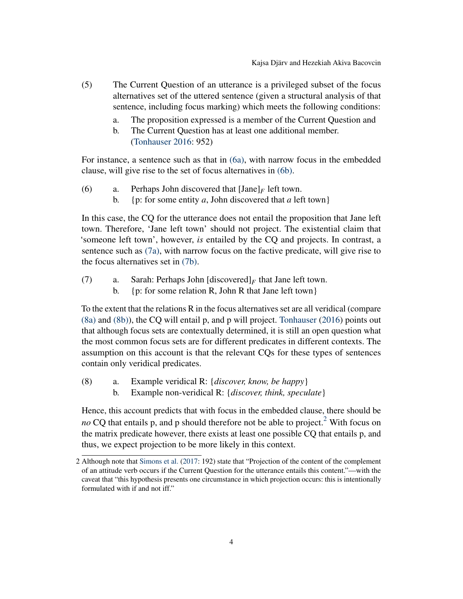- (5) The Current Question of an utterance is a privileged subset of the focus alternatives set of the uttered sentence (given a structural analysis of that sentence, including focus marking) which meets the following conditions:
	- a. The proposition expressed is a member of the Current Question and
	- b. The Current Question has at least one additional member. [\(Tonhauser](#page-23-0) [2016:](#page-23-0) 952)

For instance, a sentence such as that in [\(6a\),](#page-3-0) with narrow focus in the embedded clause, will give rise to the set of focus alternatives in [\(6b\).](#page-3-1)

- <span id="page-3-1"></span><span id="page-3-0"></span>(6) a. Perhaps John discovered that  $[Jane]_F$  left town.
	- b. {p: for some entity *a*, John discovered that *a* left town}

In this case, the CQ for the utterance does not entail the proposition that Jane left town. Therefore, 'Jane left town' should not project. The existential claim that 'someone left town', however, *is* entailed by the CQ and projects. In contrast, a sentence such as [\(7a\),](#page-3-2) with narrow focus on the factive predicate, will give rise to the focus alternatives set in [\(7b\).](#page-3-3)

- <span id="page-3-3"></span><span id="page-3-2"></span>(7) a. Sarah: Perhaps John  $[discovered]_F$  that Jane left town.
	- b. {p: for some relation R, John R that Jane left town}

To the extent that the relations R in the focus alternatives set are all veridical (compare [\(8a\)](#page-3-4) and [\(8b\)\)](#page-3-5), the CQ will entail p, and p will project. [Tonhauser](#page-23-0) [\(2016\)](#page-23-0) points out that although focus sets are contextually determined, it is still an open question what the most common focus sets are for different predicates in different contexts. The assumption on this account is that the relevant CQs for these types of sentences contain only veridical predicates.

- <span id="page-3-5"></span><span id="page-3-4"></span>(8) a. Example veridical R: {*discover, know, be happy*}
	- b. Example non-veridical R: {*discover, think, speculate*}

Hence, this account predicts that with focus in the embedded clause, there should be *no* CQ that entails p, and p should therefore not be able to project.<sup>[2](#page-3-6)</sup> With focus on the matrix predicate however, there exists at least one possible CQ that entails p, and thus, we expect projection to be more likely in this context.

<span id="page-3-6"></span><sup>2</sup> Although note that [Simons et al.](#page-23-4) [\(2017:](#page-23-4) 192) state that "Projection of the content of the complement of an attitude verb occurs if the Current Question for the utterance entails this content."—with the caveat that "this hypothesis presents one circumstance in which projection occurs: this is intentionally formulated with if and not iff."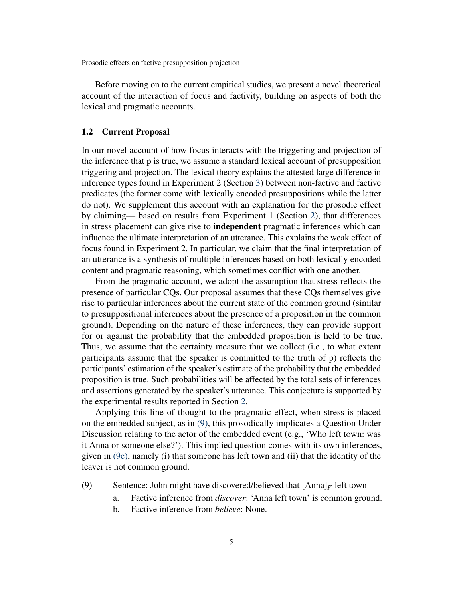Before moving on to the current empirical studies, we present a novel theoretical account of the interaction of focus and factivity, building on aspects of both the lexical and pragmatic accounts.

#### <span id="page-4-3"></span>1.2 Current Proposal

In our novel account of how focus interacts with the triggering and projection of the inference that p is true, we assume a standard lexical account of presupposition triggering and projection. The lexical theory explains the attested large difference in inference types found in Experiment 2 (Section [3\)](#page-10-0) between non-factive and factive predicates (the former come with lexically encoded presuppositions while the latter do not). We supplement this account with an explanation for the prosodic effect by claiming— based on results from Experiment 1 (Section [2\)](#page-6-0), that differences in stress placement can give rise to independent pragmatic inferences which can influence the ultimate interpretation of an utterance. This explains the weak effect of focus found in Experiment 2. In particular, we claim that the final interpretation of an utterance is a synthesis of multiple inferences based on both lexically encoded content and pragmatic reasoning, which sometimes conflict with one another.

From the pragmatic account, we adopt the assumption that stress reflects the presence of particular CQs. Our proposal assumes that these CQs themselves give rise to particular inferences about the current state of the common ground (similar to presuppositional inferences about the presence of a proposition in the common ground). Depending on the nature of these inferences, they can provide support for or against the probability that the embedded proposition is held to be true. Thus, we assume that the certainty measure that we collect (i.e., to what extent participants assume that the speaker is committed to the truth of p) reflects the participants' estimation of the speaker's estimate of the probability that the embedded proposition is true. Such probabilities will be affected by the total sets of inferences and assertions generated by the speaker's utterance. This conjecture is supported by the experimental results reported in Section [2.](#page-6-0)

Applying this line of thought to the pragmatic effect, when stress is placed on the embedded subject, as in [\(9\),](#page-4-0) this prosodically implicates a Question Under Discussion relating to the actor of the embedded event (e.g., 'Who left town: was it Anna or someone else?'). This implied question comes with its own inferences, given in [\(9c\),](#page-5-0) namely (i) that someone has left town and (ii) that the identity of the leaver is not common ground.

- <span id="page-4-2"></span><span id="page-4-1"></span><span id="page-4-0"></span>(9) Sentence: John might have discovered/believed that  $[Anna]_F$  left town
	- a. Factive inference from *discover*: 'Anna left town' is common ground.
	- b. Factive inference from *believe*: None.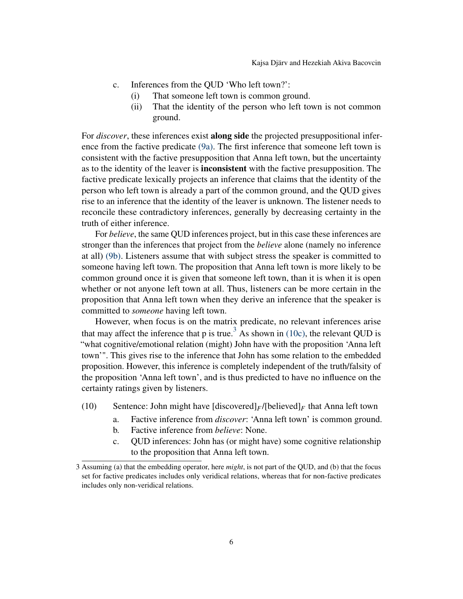- <span id="page-5-0"></span>c. Inferences from the QUD 'Who left town?':
	- (i) That someone left town is common ground.
	- (ii) That the identity of the person who left town is not common ground.

For *discover*, these inferences exist along side the projected presuppositional inference from the factive predicate [\(9a\).](#page-4-1) The first inference that someone left town is consistent with the factive presupposition that Anna left town, but the uncertainty as to the identity of the leaver is inconsistent with the factive presupposition. The factive predicate lexically projects an inference that claims that the identity of the person who left town is already a part of the common ground, and the QUD gives rise to an inference that the identity of the leaver is unknown. The listener needs to reconcile these contradictory inferences, generally by decreasing certainty in the truth of either inference.

For *believe*, the same QUD inferences project, but in this case these inferences are stronger than the inferences that project from the *believe* alone (namely no inference at all) [\(9b\).](#page-4-2) Listeners assume that with subject stress the speaker is committed to someone having left town. The proposition that Anna left town is more likely to be common ground once it is given that someone left town, than it is when it is open whether or not anyone left town at all. Thus, listeners can be more certain in the proposition that Anna left town when they derive an inference that the speaker is committed to *someone* having left town.

However, when focus is on the matrix predicate, no relevant inferences arise that may affect the inference that p is true.<sup>[3](#page-5-1)</sup> As shown in [\(10c\),](#page-5-2) the relevant QUD is "what cognitive/emotional relation (might) John have with the proposition 'Anna left town'". This gives rise to the inference that John has some relation to the embedded proposition. However, this inference is completely independent of the truth/falsity of the proposition 'Anna left town', and is thus predicted to have no influence on the certainty ratings given by listeners.

- <span id="page-5-3"></span>(10) Sentence: John might have  $\left[\frac{d}{dE}f\right]$ [believed]<sub>*F*</sub> that Anna left town
	- a. Factive inference from *discover*: 'Anna left town' is common ground.
	- b. Factive inference from *believe*: None.
	- c. QUD inferences: John has (or might have) some cognitive relationship to the proposition that Anna left town.

<span id="page-5-2"></span><span id="page-5-1"></span><sup>3</sup> Assuming (a) that the embedding operator, here *might*, is not part of the QUD, and (b) that the focus set for factive predicates includes only veridical relations, whereas that for non-factive predicates includes only non-veridical relations.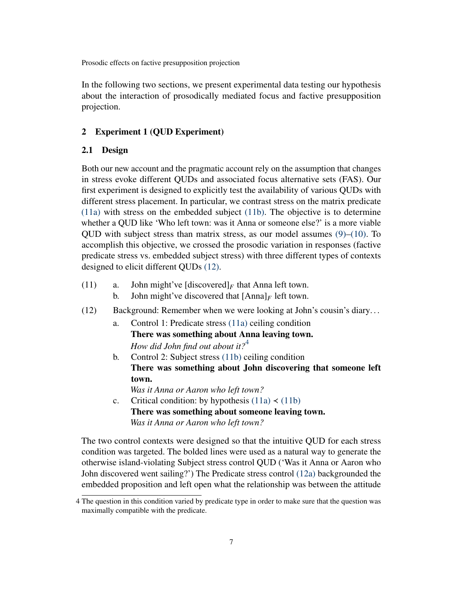In the following two sections, we present experimental data testing our hypothesis about the interaction of prosodically mediated focus and factive presupposition projection.

## <span id="page-6-0"></span>2 Experiment 1 (QUD Experiment)

# 2.1 Design

Both our new account and the pragmatic account rely on the assumption that changes in stress evoke different QUDs and associated focus alternative sets (FAS). Our first experiment is designed to explicitly test the availability of various QUDs with different stress placement. In particular, we contrast stress on the matrix predicate [\(11a\)](#page-6-1) with stress on the embedded subject [\(11b\).](#page-6-2) The objective is to determine whether a QUD like 'Who left town: was it Anna or someone else?' is a more viable QUD with subject stress than matrix stress, as our model assumes  $(9)$ – $(10)$ . To accomplish this objective, we crossed the prosodic variation in responses (factive predicate stress vs. embedded subject stress) with three different types of contexts designed to elicit different QUDs [\(12\).](#page-6-3)

- <span id="page-6-8"></span><span id="page-6-2"></span><span id="page-6-1"></span>(11) a. John might've  $\left[\text{discovered}\right]_F$  that Anna left town.
	- b. John might've discovered that  $[Anna]_F$  left town.
- <span id="page-6-6"></span><span id="page-6-5"></span><span id="page-6-3"></span>(12) Background: Remember when we were looking at John's cousin's diary. . .
	- a. Control 1: Predicate stress [\(11a\)](#page-6-1) ceiling condition There was something about Anna leaving town. *How did John find out about it?*[4](#page-6-4)
	- b. Control 2: Subject stress [\(11b\)](#page-6-2) ceiling condition There was something about John discovering that someone left town.

*Was it Anna or Aaron who left town?*

<span id="page-6-7"></span>c. Critical condition: by hypothesis  $(11a) \prec (11b)$  $(11a) \prec (11b)$  $(11a) \prec (11b)$ There was something about someone leaving town. *Was it Anna or Aaron who left town?*

The two control contexts were designed so that the intuitive QUD for each stress condition was targeted. The bolded lines were used as a natural way to generate the otherwise island-violating Subject stress control QUD ('Was it Anna or Aaron who John discovered went sailing?') The Predicate stress control [\(12a\)](#page-6-5) backgrounded the embedded proposition and left open what the relationship was between the attitude

<span id="page-6-4"></span><sup>4</sup> The question in this condition varied by predicate type in order to make sure that the question was maximally compatible with the predicate.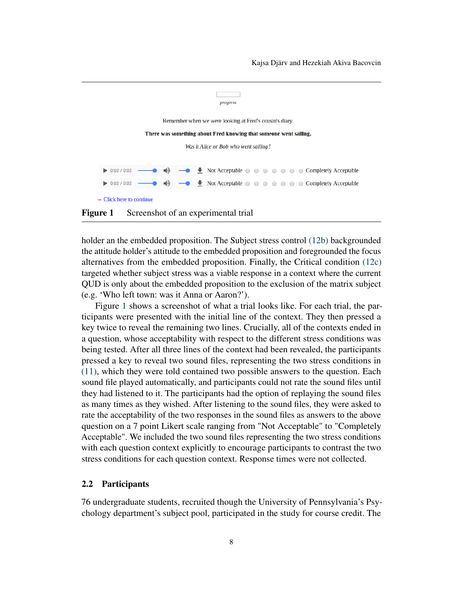

<span id="page-7-0"></span>Figure 1 Screenshot of an experimental trial

holder an the embedded proposition. The Subject stress control [\(12b\)](#page-6-6) backgrounded the attitude holder's attitude to the embedded proposition and foregrounded the focus alternatives from the embedded proposition. Finally, the Critical condition [\(12c\)](#page-6-7) targeted whether subject stress was a viable response in a context where the current QUD is only about the embedded proposition to the exclusion of the matrix subject (e.g. 'Who left town: was it Anna or Aaron?').

Figure [1](#page-7-0) shows a screenshot of what a trial looks like. For each trial, the participants were presented with the initial line of the context. They then pressed a key twice to reveal the remaining two lines. Crucially, all of the contexts ended in a question, whose acceptability with respect to the different stress conditions was being tested. After all three lines of the context had been revealed, the participants pressed a key to reveal two sound files, representing the two stress conditions in [\(11\),](#page-6-8) which they were told contained two possible answers to the question. Each sound file played automatically, and participants could not rate the sound files until they had listened to it. The participants had the option of replaying the sound files as many times as they wished. After listening to the sound files, they were asked to rate the acceptability of the two responses in the sound files as answers to the above question on a 7 point Likert scale ranging from "Not Acceptable" to "Completely Acceptable". We included the two sound files representing the two stress conditions with each question context explicitly to encourage participants to contrast the two stress conditions for each question context. Response times were not collected.

#### 2.2 Participants

76 undergraduate students, recruited though the University of Pennsylvania's Psychology department's subject pool, participated in the study for course credit. The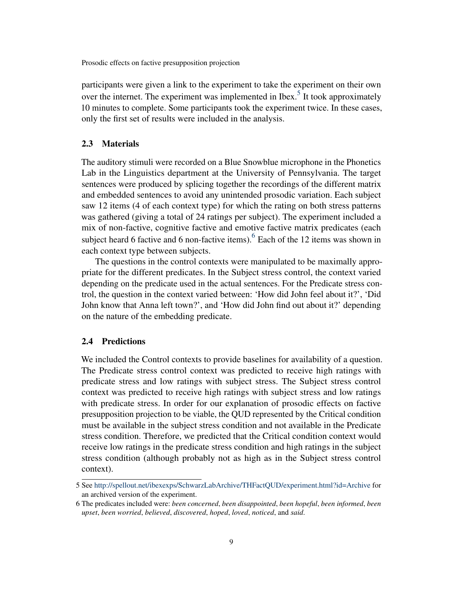participants were given a link to the experiment to take the experiment on their own over the internet. The experiment was implemented in Ibex.<sup>[5](#page-8-0)</sup> It took approximately 10 minutes to complete. Some participants took the experiment twice. In these cases, only the first set of results were included in the analysis.

## 2.3 Materials

The auditory stimuli were recorded on a Blue Snowblue microphone in the Phonetics Lab in the Linguistics department at the University of Pennsylvania. The target sentences were produced by splicing together the recordings of the different matrix and embedded sentences to avoid any unintended prosodic variation. Each subject saw 12 items (4 of each context type) for which the rating on both stress patterns was gathered (giving a total of 24 ratings per subject). The experiment included a mix of non-factive, cognitive factive and emotive factive matrix predicates (each subject heard [6](#page-8-1) factive and 6 non-factive items).  $6$  Each of the 12 items was shown in each context type between subjects.

The questions in the control contexts were manipulated to be maximally appropriate for the different predicates. In the Subject stress control, the context varied depending on the predicate used in the actual sentences. For the Predicate stress control, the question in the context varied between: 'How did John feel about it?', 'Did John know that Anna left town?', and 'How did John find out about it?' depending on the nature of the embedding predicate.

# 2.4 Predictions

We included the Control contexts to provide baselines for availability of a question. The Predicate stress control context was predicted to receive high ratings with predicate stress and low ratings with subject stress. The Subject stress control context was predicted to receive high ratings with subject stress and low ratings with predicate stress. In order for our explanation of prosodic effects on factive presupposition projection to be viable, the QUD represented by the Critical condition must be available in the subject stress condition and not available in the Predicate stress condition. Therefore, we predicted that the Critical condition context would receive low ratings in the predicate stress condition and high ratings in the subject stress condition (although probably not as high as in the Subject stress control context).

<span id="page-8-0"></span><sup>5</sup> See <http://spellout.net/ibexexps/SchwarzLabArchive/THFactQUD/experiment.html?id=Archive> for an archived version of the experiment.

<span id="page-8-1"></span><sup>6</sup> The predicates included were: *been concerned*, *been disappointed*, *been hopeful*, *been informed*, *been upset*, *been worried*, *believed*, *discovered*, *hoped*, *loved*, *noticed*, and *said*.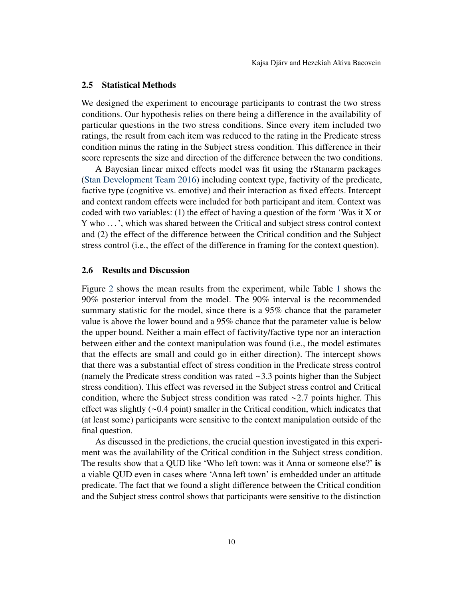# 2.5 Statistical Methods

We designed the experiment to encourage participants to contrast the two stress conditions. Our hypothesis relies on there being a difference in the availability of particular questions in the two stress conditions. Since every item included two ratings, the result from each item was reduced to the rating in the Predicate stress condition minus the rating in the Subject stress condition. This difference in their score represents the size and direction of the difference between the two conditions.

A Bayesian linear mixed effects model was fit using the rStanarm packages [\(Stan Development Team](#page-23-5) [2016\)](#page-23-5) including context type, factivity of the predicate, factive type (cognitive vs. emotive) and their interaction as fixed effects. Intercept and context random effects were included for both participant and item. Context was coded with two variables: (1) the effect of having a question of the form 'Was it X or Y who . . . ', which was shared between the Critical and subject stress control context and (2) the effect of the difference between the Critical condition and the Subject stress control (i.e., the effect of the difference in framing for the context question).

## 2.6 Results and Discussion

Figure [2](#page-11-0) shows the mean results from the experiment, while Table [1](#page-10-1) shows the 90% posterior interval from the model. The 90% interval is the recommended summary statistic for the model, since there is a 95% chance that the parameter value is above the lower bound and a 95% chance that the parameter value is below the upper bound. Neither a main effect of factivity/factive type nor an interaction between either and the context manipulation was found (i.e., the model estimates that the effects are small and could go in either direction). The intercept shows that there was a substantial effect of stress condition in the Predicate stress control (namely the Predicate stress condition was rated ∼3.3 points higher than the Subject stress condition). This effect was reversed in the Subject stress control and Critical condition, where the Subject stress condition was rated ∼2.7 points higher. This effect was slightly (∼0.4 point) smaller in the Critical condition, which indicates that (at least some) participants were sensitive to the context manipulation outside of the final question.

As discussed in the predictions, the crucial question investigated in this experiment was the availability of the Critical condition in the Subject stress condition. The results show that a QUD like 'Who left town: was it Anna or someone else?' is a viable QUD even in cases where 'Anna left town' is embedded under an attitude predicate. The fact that we found a slight difference between the Critical condition and the Subject stress control shows that participants were sensitive to the distinction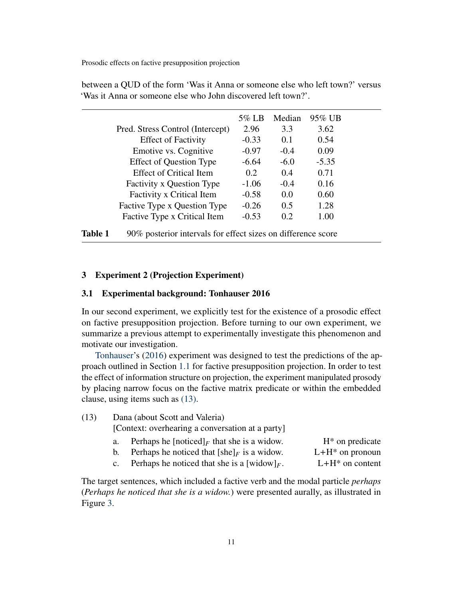<span id="page-10-1"></span>

|                                  | 5% LB   | Median | 95% UB  |
|----------------------------------|---------|--------|---------|
| Pred. Stress Control (Intercept) | 2.96    | 3.3    | 3.62    |
| <b>Effect of Factivity</b>       | $-0.33$ | 0.1    | 0.54    |
| Emotive vs. Cognitive            | $-0.97$ | $-0.4$ | 0.09    |
| <b>Effect of Question Type</b>   | $-6.64$ | $-6.0$ | $-5.35$ |
| <b>Effect of Critical Item</b>   | 0.2     | 0.4    | 0.71    |
| <b>Factivity x Question Type</b> | $-1.06$ | $-0.4$ | 0.16    |
| Factivity x Critical Item        | $-0.58$ | 0.0    | 0.60    |
| Factive Type x Question Type     | $-0.26$ | 0.5    | 1.28    |
| Factive Type x Critical Item     | $-0.53$ | 0.2    | 1.00    |

between a QUD of the form 'Was it Anna or someone else who left town?' versus 'Was it Anna or someone else who John discovered left town?'.

# <span id="page-10-0"></span>3 Experiment 2 (Projection Experiment)

#### 3.1 Experimental background: Tonhauser 2016

In our second experiment, we explicitly test for the existence of a prosodic effect on factive presupposition projection. Before turning to our own experiment, we summarize a previous attempt to experimentally investigate this phenomenon and motivate our investigation.

[Tonhauser'](#page-23-0)s [\(2016\)](#page-23-0) experiment was designed to test the predictions of the approach outlined in Section [1.1](#page-0-2) for factive presupposition projection. In order to test the effect of information structure on projection, the experiment manipulated prosody by placing narrow focus on the factive matrix predicate or within the embedded clause, using items such as [\(13\).](#page-10-2)

<span id="page-10-3"></span><span id="page-10-2"></span>(13) Dana (about Scott and Valeria)

[Context: overhearing a conversation at a party]

<span id="page-10-4"></span>

| Perhaps he [noticed] <sub>F</sub> that she is a widow. | $H^*$ on predicate |
|--------------------------------------------------------|--------------------|
| Perhaps he noticed that $[\text{she}]_F$ is a widow.   | $L+H^*$ on pronoun |

c. Perhaps he noticed that she is a [widow]<sub>F</sub>.  $L+H^*$  on content

<span id="page-10-5"></span>The target sentences, which included a factive verb and the modal particle *perhaps* (*Perhaps he noticed that she is a widow.*) were presented aurally, as illustrated in Figure [3.](#page-12-0)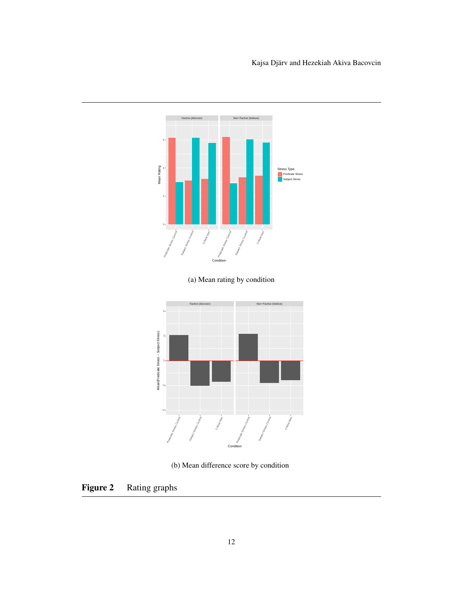

<span id="page-11-0"></span>(b) Mean difference score by condition

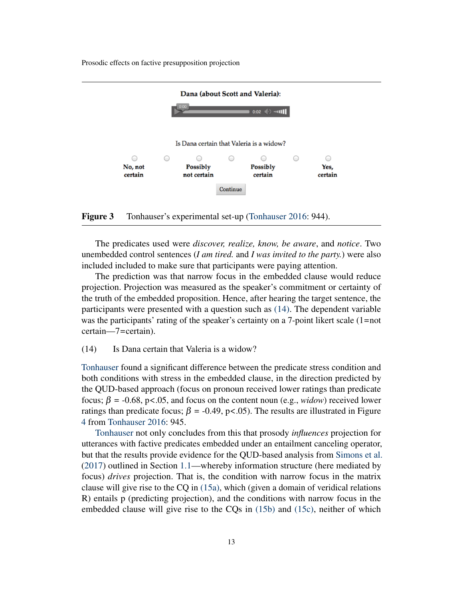

<span id="page-12-0"></span>Figure 3 Tonhauser's experimental set-up [\(Tonhauser](#page-23-0) [2016:](#page-23-0) 944).

The predicates used were *discover, realize, know, be aware*, and *notice*. Two unembedded control sentences (*I am tired.* and *I was invited to the party.*) were also included included to make sure that participants were paying attention.

The prediction was that narrow focus in the embedded clause would reduce projection. Projection was measured as the speaker's commitment or certainty of the truth of the embedded proposition. Hence, after hearing the target sentence, the participants were presented with a question such as [\(14\).](#page-12-1) The dependent variable was the participants' rating of the speaker's certainty on a 7-point likert scale (1=not certain—7=certain).

# <span id="page-12-1"></span>(14) Is Dana certain that Valeria is a widow?

[Tonhauser](#page-23-0) found a significant difference between the predicate stress condition and both conditions with stress in the embedded clause, in the direction predicted by the QUD-based approach (focus on pronoun received lower ratings than predicate focus;  $\beta$  = -0.68, p<.05, and focus on the content noun (e.g., *widow*) received lower ratings than predicate focus;  $\beta$  = -0.49, p<.05). The results are illustrated in Figure [4](#page-13-0) from [Tonhauser](#page-23-0) [2016:](#page-23-0) 945.

[Tonhauser](#page-23-0) not only concludes from this that prosody *influences* projection for utterances with factive predicates embedded under an entailment canceling operator, but that the results provide evidence for the QUD-based analysis from [Simons et al.](#page-23-4) [\(2017\)](#page-23-4) outlined in Section [1.1—](#page-0-2)whereby information structure (here mediated by focus) *drives* projection. That is, the condition with narrow focus in the matrix clause will give rise to the  $CQ$  in [\(15a\),](#page-13-1) which (given a domain of veridical relations R) entails p (predicting projection), and the conditions with narrow focus in the embedded clause will give rise to the CQs in [\(15b\)](#page-13-2) and [\(15c\),](#page-13-3) neither of which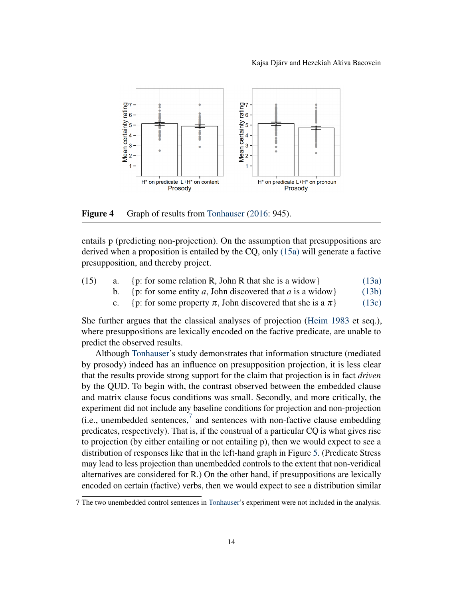

<span id="page-13-0"></span>Figure 4 Graph of results from [Tonhauser](#page-23-0) [\(2016:](#page-23-0) 945).

entails p (predicting non-projection). On the assumption that presuppositions are derived when a proposition is entailed by the CQ, only [\(15a\)](#page-13-1) will generate a factive presupposition, and thereby project.

<span id="page-13-3"></span><span id="page-13-2"></span><span id="page-13-1"></span>

| (15) | {p: for some relation R, John R that she is a widow}      | (13a) |  |
|------|-----------------------------------------------------------|-------|--|
|      | {p: for some entity a, John discovered that a is a widow} | (13b) |  |

c. {p: for some property  $\pi$ , John discovered that she is a  $\pi$ } [\(13c\)](#page-10-5)

She further argues that the classical analyses of projection [\(Heim](#page-22-2) [1983](#page-22-2) et seq.), where presuppositions are lexically encoded on the factive predicate, are unable to predict the observed results.

Although [Tonhauser'](#page-23-0)s study demonstrates that information structure (mediated by prosody) indeed has an influence on presupposition projection, it is less clear that the results provide strong support for the claim that projection is in fact *driven* by the QUD. To begin with, the contrast observed between the embedded clause and matrix clause focus conditions was small. Secondly, and more critically, the experiment did not include any baseline conditions for projection and non-projection (i.e., unembedded sentences, $\frac{7}{1}$  $\frac{7}{1}$  $\frac{7}{1}$  and sentences with non-factive clause embedding predicates, respectively). That is, if the construal of a particular CQ is what gives rise to projection (by either entailing or not entailing p), then we would expect to see a distribution of responses like that in the left-hand graph in Figure [5.](#page-14-0) (Predicate Stress may lead to less projection than unembedded controls to the extent that non-veridical alternatives are considered for R.) On the other hand, if presuppositions are lexically encoded on certain (factive) verbs, then we would expect to see a distribution similar

<span id="page-13-4"></span><sup>7</sup> The two unembedded control sentences in [Tonhauser'](#page-23-0)s experiment were not included in the analysis.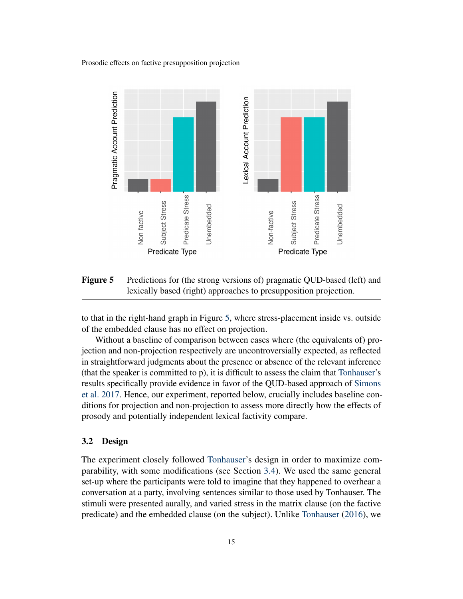

<span id="page-14-0"></span>Figure 5 Predictions for (the strong versions of) pragmatic QUD-based (left) and lexically based (right) approaches to presupposition projection.

to that in the right-hand graph in Figure [5,](#page-14-0) where stress-placement inside vs. outside of the embedded clause has no effect on projection.

Without a baseline of comparison between cases where (the equivalents of) projection and non-projection respectively are uncontroversially expected, as reflected in straightforward judgments about the presence or absence of the relevant inference (that the speaker is committed to p), it is difficult to assess the claim that [Tonhauser'](#page-23-0)s results specifically provide evidence in favor of the QUD-based approach of [Simons](#page-23-4) [et al.](#page-23-4) [2017.](#page-23-4) Hence, our experiment, reported below, crucially includes baseline conditions for projection and non-projection to assess more directly how the effects of prosody and potentially independent lexical factivity compare.

# 3.2 Design

The experiment closely followed [Tonhauser'](#page-23-0)s design in order to maximize comparability, with some modifications (see Section [3.4\)](#page-15-0). We used the same general set-up where the participants were told to imagine that they happened to overhear a conversation at a party, involving sentences similar to those used by Tonhauser. The stimuli were presented aurally, and varied stress in the matrix clause (on the factive predicate) and the embedded clause (on the subject). Unlike [Tonhauser](#page-23-0) [\(2016\)](#page-23-0), we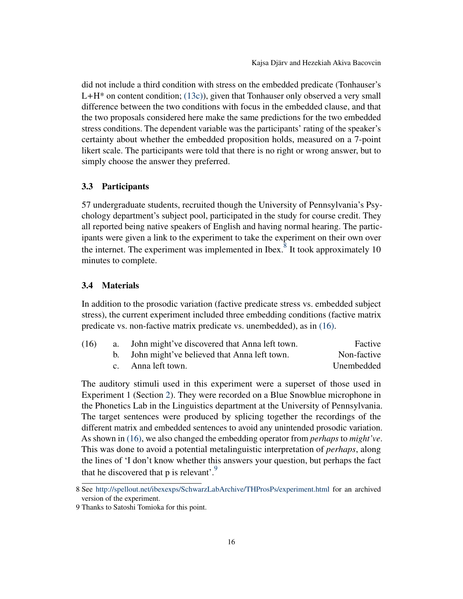did not include a third condition with stress on the embedded predicate (Tonhauser's  $L+H^*$  on content condition; [\(13c\)\)](#page-10-5), given that Tonhauser only observed a very small difference between the two conditions with focus in the embedded clause, and that the two proposals considered here make the same predictions for the two embedded stress conditions. The dependent variable was the participants' rating of the speaker's certainty about whether the embedded proposition holds, measured on a 7-point likert scale. The participants were told that there is no right or wrong answer, but to simply choose the answer they preferred.

# 3.3 Participants

57 undergraduate students, recruited though the University of Pennsylvania's Psychology department's subject pool, participated in the study for course credit. They all reported being native speakers of English and having normal hearing. The participants were given a link to the experiment to take the experiment on their own over the internet. The experiment was implemented in Ibex. $^8$  $^8$  It took approximately 10 minutes to complete.

#### <span id="page-15-0"></span>3.4 Materials

In addition to the prosodic variation (factive predicate stress vs. embedded subject stress), the current experiment included three embedding conditions (factive matrix predicate vs. non-factive matrix predicate vs. unembedded), as in [\(16\).](#page-15-2)

<span id="page-15-2"></span>

| (16) | a. John might've discovered that Anna left town. | Factive     |
|------|--------------------------------------------------|-------------|
|      | b. John might've believed that Anna left town.   | Non-factive |
|      | c. Anna left town.                               | Unembedded  |

The auditory stimuli used in this experiment were a superset of those used in Experiment 1 (Section [2\)](#page-6-0). They were recorded on a Blue Snowblue microphone in the Phonetics Lab in the Linguistics department at the University of Pennsylvania. The target sentences were produced by splicing together the recordings of the different matrix and embedded sentences to avoid any unintended prosodic variation. As shown in [\(16\),](#page-15-2) we also changed the embedding operator from *perhaps* to *might've*. This was done to avoid a potential metalinguistic interpretation of *perhaps*, along the lines of 'I don't know whether this answers your question, but perhaps the fact that he discovered that  $p$  is relevant'.<sup>[9](#page-15-3)</sup>

<span id="page-15-1"></span><sup>8</sup> See <http://spellout.net/ibexexps/SchwarzLabArchive/THProsPs/experiment.html> for an archived version of the experiment.

<span id="page-15-3"></span><sup>9</sup> Thanks to Satoshi Tomioka for this point.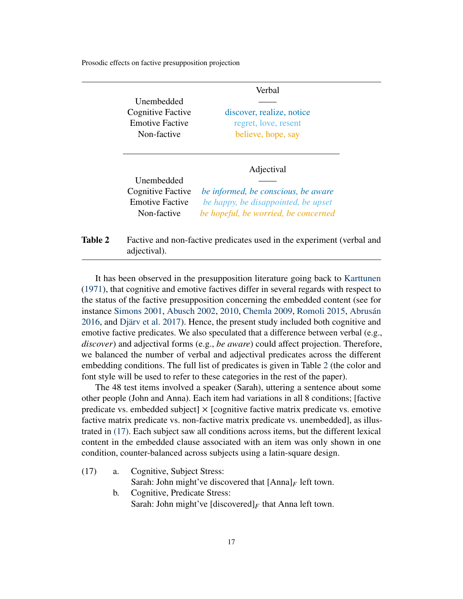|                                             | Verbal                                                                     |
|---------------------------------------------|----------------------------------------------------------------------------|
| Unembedded                                  |                                                                            |
| Cognitive Factive                           | discover, realize, notice                                                  |
| <b>Emotive Factive</b>                      | regret, love, resent                                                       |
| Non-factive                                 | believe, hope, say                                                         |
|                                             |                                                                            |
| Unembedded                                  | Adjectival                                                                 |
| Cognitive Factive<br><b>Emotive Factive</b> | be informed, be conscious, be aware<br>be happy, be disappointed, be upset |

<span id="page-16-0"></span>**Table 2** Factive and non-factive predicates used in the experiment (verbal and adjectival).

It has been observed in the presupposition literature going back to [Karttunen](#page-22-0) [\(1971\)](#page-22-0), that cognitive and emotive factives differ in several regards with respect to the status of the factive presupposition concerning the embedded content (see for instance [Simons](#page-22-4) [2001,](#page-22-4) [Abusch](#page-21-3) [2002,](#page-21-3) [2010,](#page-21-4) [Chemla](#page-22-7) [2009,](#page-22-7) [Romoli](#page-22-8) [2015,](#page-22-8) [Abrusán](#page-21-1) [2016,](#page-21-1) and [Djärv et al.](#page-22-9) [2017\)](#page-22-9). Hence, the present study included both cognitive and emotive factive predicates. We also speculated that a difference between verbal (e.g., *discover*) and adjectival forms (e.g., *be aware*) could affect projection. Therefore, we balanced the number of verbal and adjectival predicates across the different embedding conditions. The full list of predicates is given in Table [2](#page-16-0) (the color and font style will be used to refer to these categories in the rest of the paper).

The 48 test items involved a speaker (Sarah), uttering a sentence about some other people (John and Anna). Each item had variations in all 8 conditions; [factive predicate vs. embedded subject  $\times$  [cognitive factive matrix predicate vs. emotive factive matrix predicate vs. non-factive matrix predicate vs. unembedded], as illustrated in [\(17\).](#page-16-1) Each subject saw all conditions across items, but the different lexical content in the embedded clause associated with an item was only shown in one condition, counter-balanced across subjects using a latin-square design.

- <span id="page-16-1"></span>(17) a. Cognitive, Subject Stress: Sarah: John might've discovered that  $[Anna]_F$  left town.
	- b. Cognitive, Predicate Stress: Sarah: John might've [discovered]<sub>*F*</sub> that Anna left town.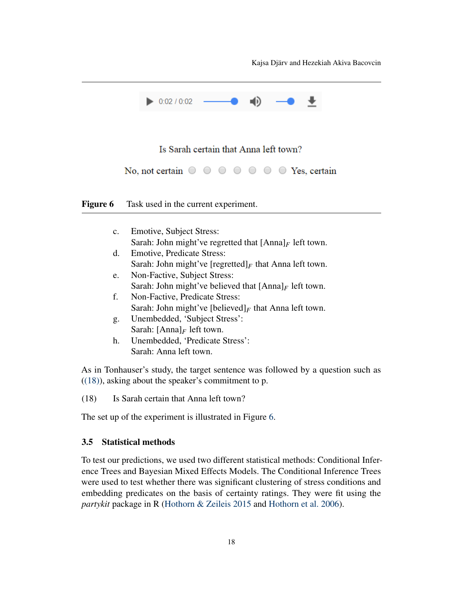Kajsa Djärv and Hezekiah Akiva Bacovcin



# Is Sarah certain that Anna left town?

No, not certain  $\circ \circ \circ \circ \circ \circ \circ \circ \circ$  Yes, certain

<span id="page-17-1"></span>Figure 6 Task used in the current experiment.

| $\mathbf{c}$ . | <b>Emotive, Subject Stress:</b>                                   |
|----------------|-------------------------------------------------------------------|
|                | Sarah: John might've regretted that $[Anna]_F$ left town.         |
| d.             | <b>Emotive, Predicate Stress:</b>                                 |
|                | Sarah: John might've [regretted] $_F$ that Anna left town.        |
| e.             | Non-Factive, Subject Stress:                                      |
|                | Sarah: John might've believed that $[Anna]_F$ left town.          |
| f.             | Non-Factive, Predicate Stress:                                    |
|                | Sarah: John might've [believed] <sub>F</sub> that Anna left town. |
| g.             | Unembedded, 'Subject Stress':                                     |
|                | Sarah: $[Anna]_F$ left town.                                      |
| h.             | Unembedded, 'Predicate Stress':                                   |
|                | Sarah: Anna left town.                                            |

<span id="page-17-0"></span>As in Tonhauser's study, the target sentence was followed by a question such as  $((18))$ , asking about the speaker's commitment to p.

(18) Is Sarah certain that Anna left town?

The set up of the experiment is illustrated in Figure [6.](#page-17-1)

# 3.5 Statistical methods

To test our predictions, we used two different statistical methods: Conditional Inference Trees and Bayesian Mixed Effects Models. The Conditional Inference Trees were used to test whether there was significant clustering of stress conditions and embedding predicates on the basis of certainty ratings. They were fit using the *partykit* package in R [\(Hothorn & Zeileis](#page-22-10) [2015](#page-22-10) and [Hothorn et al.](#page-22-11) [2006\)](#page-22-11).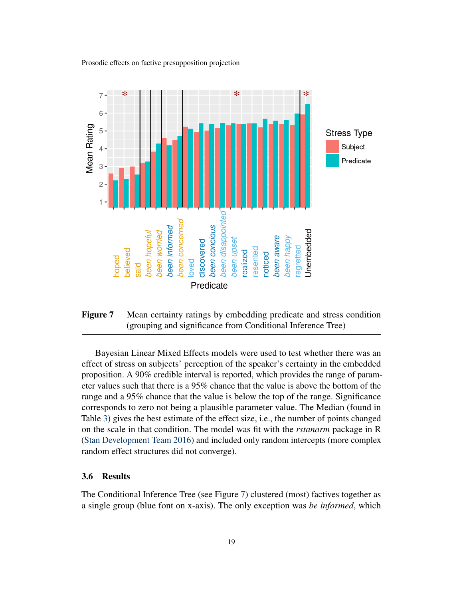

<span id="page-18-0"></span>Figure 7 Mean certainty ratings by embedding predicate and stress condition (grouping and significance from Conditional Inference Tree)

Bayesian Linear Mixed Effects models were used to test whether there was an effect of stress on subjects' perception of the speaker's certainty in the embedded proposition. A 90% credible interval is reported, which provides the range of parameter values such that there is a 95% chance that the value is above the bottom of the range and a 95% chance that the value is below the top of the range. Significance corresponds to zero not being a plausible parameter value. The Median (found in Table [3\)](#page-19-0) gives the best estimate of the effect size, i.e., the number of points changed on the scale in that condition. The model was fit with the *rstanarm* package in R [\(Stan Development Team](#page-23-5) [2016\)](#page-23-5) and included only random intercepts (more complex random effect structures did not converge).

# 3.6 Results

The Conditional Inference Tree (see Figure [7\)](#page-18-0) clustered (most) factives together as a single group (blue font on x-axis). The only exception was *be informed*, which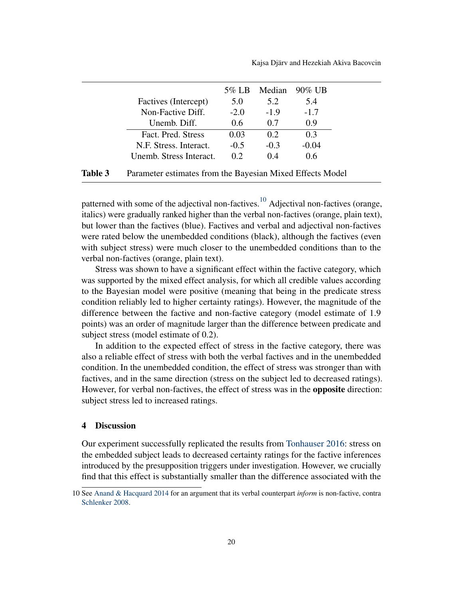<span id="page-19-0"></span>

|                         | 5% LB  | Median   | $90\%$ UB |
|-------------------------|--------|----------|-----------|
| Factives (Intercept)    | 5.0    | 5.2      | 5.4       |
| Non-Factive Diff.       | $-2.0$ | $-1.9$   | $-1.7$    |
| Unemb. Diff.            | 0.6    | 0.7      | 0.9       |
| Fact. Pred. Stress      | 0.03   | 0.2      | 0.3       |
| N.F. Stress. Interact.  | $-0.5$ | $-0.3$   | $-0.04$   |
| Unemb. Stress Interact. | 0.2    | $(1)$ .4 | 0.6       |

| <b>Table 3</b> | Parameter estimates from the Bayesian Mixed Effects Model |  |  |  |  |  |  |  |
|----------------|-----------------------------------------------------------|--|--|--|--|--|--|--|
|----------------|-----------------------------------------------------------|--|--|--|--|--|--|--|

patterned with some of the adjectival non-factives.<sup>[10](#page-19-1)</sup> Adjectival non-factives (orange, italics) were gradually ranked higher than the verbal non-factives (orange, plain text), but lower than the factives (blue). Factives and verbal and adjectival non-factives were rated below the unembedded conditions (black), although the factives (even with subject stress) were much closer to the unembedded conditions than to the verbal non-factives (orange, plain text).

Stress was shown to have a significant effect within the factive category, which was supported by the mixed effect analysis, for which all credible values according to the Bayesian model were positive (meaning that being in the predicate stress condition reliably led to higher certainty ratings). However, the magnitude of the difference between the factive and non-factive category (model estimate of 1.9 points) was an order of magnitude larger than the difference between predicate and subject stress (model estimate of 0.2).

In addition to the expected effect of stress in the factive category, there was also a reliable effect of stress with both the verbal factives and in the unembedded condition. In the unembedded condition, the effect of stress was stronger than with factives, and in the same direction (stress on the subject led to decreased ratings). However, for verbal non-factives, the effect of stress was in the opposite direction: subject stress led to increased ratings.

## 4 Discussion

Our experiment successfully replicated the results from [Tonhauser](#page-23-0) [2016:](#page-23-0) stress on the embedded subject leads to decreased certainty ratings for the factive inferences introduced by the presupposition triggers under investigation. However, we crucially find that this effect is substantially smaller than the difference associated with the

<span id="page-19-1"></span><sup>10</sup> See [Anand & Hacquard](#page-21-5) [2014](#page-21-5) for an argument that its verbal counterpart *inform* is non-factive, contra [Schlenker](#page-22-12) [2008.](#page-22-12)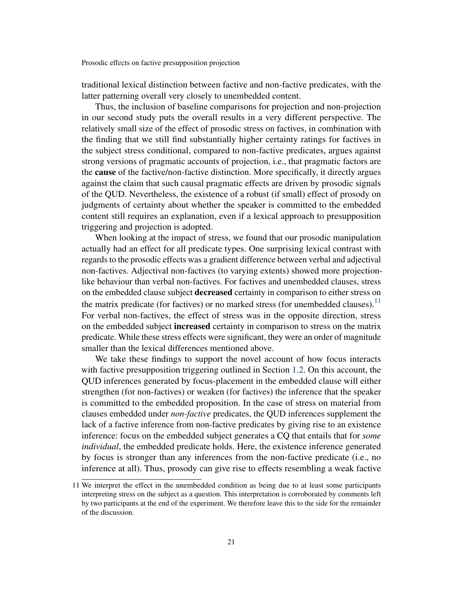traditional lexical distinction between factive and non-factive predicates, with the latter patterning overall very closely to unembedded content.

Thus, the inclusion of baseline comparisons for projection and non-projection in our second study puts the overall results in a very different perspective. The relatively small size of the effect of prosodic stress on factives, in combination with the finding that we still find substantially higher certainty ratings for factives in the subject stress conditional, compared to non-factive predicates, argues against strong versions of pragmatic accounts of projection, i.e., that pragmatic factors are the cause of the factive/non-factive distinction. More specifically, it directly argues against the claim that such causal pragmatic effects are driven by prosodic signals of the QUD. Nevertheless, the existence of a robust (if small) effect of prosody on judgments of certainty about whether the speaker is committed to the embedded content still requires an explanation, even if a lexical approach to presupposition triggering and projection is adopted.

When looking at the impact of stress, we found that our prosodic manipulation actually had an effect for all predicate types. One surprising lexical contrast with regards to the prosodic effects was a gradient difference between verbal and adjectival non-factives. Adjectival non-factives (to varying extents) showed more projectionlike behaviour than verbal non-factives. For factives and unembedded clauses, stress on the embedded clause subject **decreased** certainty in comparison to either stress on the matrix predicate (for factives) or no marked stress (for unembedded clauses).<sup>[11](#page-20-0)</sup> For verbal non-factives, the effect of stress was in the opposite direction, stress on the embedded subject increased certainty in comparison to stress on the matrix predicate. While these stress effects were significant, they were an order of magnitude smaller than the lexical differences mentioned above.

We take these findings to support the novel account of how focus interacts with factive presupposition triggering outlined in Section [1.2.](#page-4-3) On this account, the QUD inferences generated by focus-placement in the embedded clause will either strengthen (for non-factives) or weaken (for factives) the inference that the speaker is committed to the embedded proposition. In the case of stress on material from clauses embedded under *non-factive* predicates, the QUD inferences supplement the lack of a factive inference from non-factive predicates by giving rise to an existence inference: focus on the embedded subject generates a CQ that entails that for *some individual*, the embedded predicate holds. Here, the existence inference generated by focus is stronger than any inferences from the non-factive predicate (i.e., no inference at all). Thus, prosody can give rise to effects resembling a weak factive

<span id="page-20-0"></span><sup>11</sup> We interpret the effect in the unembedded condition as being due to at least some participants interpreting stress on the subject as a question. This interpretation is corroborated by comments left by two participants at the end of the experiment. We therefore leave this to the side for the remainder of the discussion.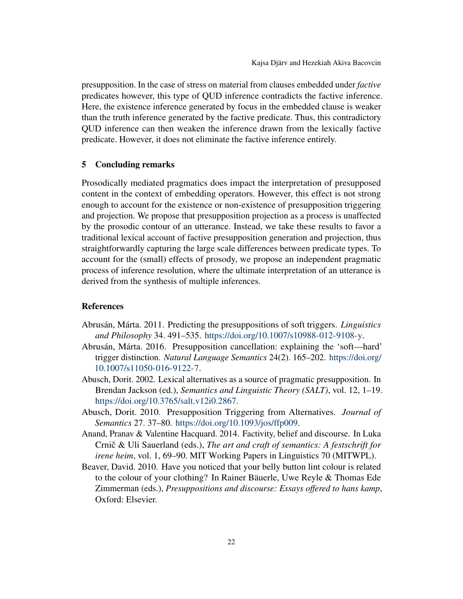presupposition. In the case of stress on material from clauses embedded under *factive* predicates however, this type of QUD inference contradicts the factive inference. Here, the existence inference generated by focus in the embedded clause is weaker than the truth inference generated by the factive predicate. Thus, this contradictory QUD inference can then weaken the inference drawn from the lexically factive predicate. However, it does not eliminate the factive inference entirely.

## 5 Concluding remarks

Prosodically mediated pragmatics does impact the interpretation of presupposed content in the context of embedding operators. However, this effect is not strong enough to account for the existence or non-existence of presupposition triggering and projection. We propose that presupposition projection as a process is unaffected by the prosodic contour of an utterance. Instead, we take these results to favor a traditional lexical account of factive presupposition generation and projection, thus straightforwardly capturing the large scale differences between predicate types. To account for the (small) effects of prosody, we propose an independent pragmatic process of inference resolution, where the ultimate interpretation of an utterance is derived from the synthesis of multiple inferences.

#### **References**

- <span id="page-21-2"></span>Abrusán, Márta. 2011. Predicting the presuppositions of soft triggers. *Linguistics and Philosophy* 34. 491–535. [https://doi.org/10.1007/s10988-012-9108-y.](https://doi.org/10.1007/s10988-012-9108-y)
- <span id="page-21-1"></span>Abrusán, Márta. 2016. Presupposition cancellation: explaining the 'soft—hard' trigger distinction. *Natural Language Semantics* 24(2). 165–202. [https://doi.org/](https://doi.org/10.1007/s11050-016-9122-7) [10.1007/s11050-016-9122-7.](https://doi.org/10.1007/s11050-016-9122-7)
- <span id="page-21-3"></span>Abusch, Dorit. 2002. Lexical alternatives as a source of pragmatic presupposition. In Brendan Jackson (ed.), *Semantics and Linguistic Theory (SALT)*, vol. 12, 1–19. [https://doi.org/10.3765/salt.v12i0.2867.](https://doi.org/10.3765/salt.v12i0.2867)
- <span id="page-21-4"></span>Abusch, Dorit. 2010. Presupposition Triggering from Alternatives. *Journal of Semantics* 27. 37–80. [https://doi.org/10.1093/jos/ffp009.](https://doi.org/10.1093/jos/ffp009)
- <span id="page-21-5"></span>Anand, Pranav & Valentine Hacquard. 2014. Factivity, belief and discourse. In Luka Crnič & Uli Sauerland (eds.), The art and craft of semantics: A festschrift for *irene heim*, vol. 1, 69–90. MIT Working Papers in Linguistics 70 (MITWPL).
- <span id="page-21-0"></span>Beaver, David. 2010. Have you noticed that your belly button lint colour is related to the colour of your clothing? In Rainer Bäuerle, Uwe Reyle & Thomas Ede Zimmerman (eds.), *Presuppositions and discourse: Essays offered to hans kamp*, Oxford: Elsevier.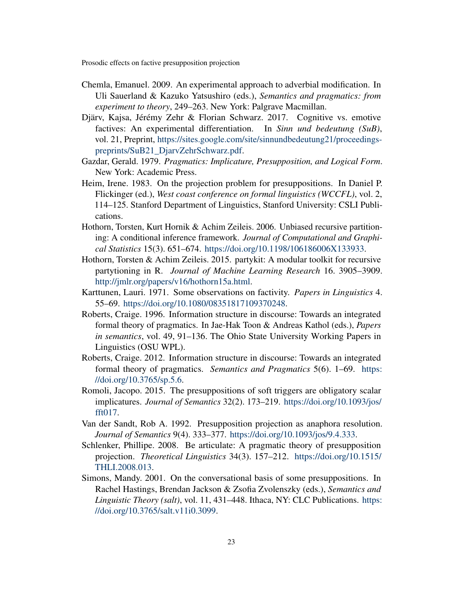- <span id="page-22-7"></span>Chemla, Emanuel. 2009. An experimental approach to adverbial modification. In Uli Sauerland & Kazuko Yatsushiro (eds.), *Semantics and pragmatics: from experiment to theory*, 249–263. New York: Palgrave Macmillan.
- <span id="page-22-9"></span>Djärv, Kajsa, Jérémy Zehr & Florian Schwarz. 2017. Cognitive vs. emotive factives: An experimental differentiation. In *Sinn und bedeutung (SuB)*, vol. 21, Preprint, [https://sites.google.com/site/sinnundbedeutung21/proceedings](https://sites.google.com/site/sinnundbedeutung21/proceedings-preprints/SuB21_DjarvZehrSchwarz.pdf)[preprints/SuB21\\_DjarvZehrSchwarz.pdf.](https://sites.google.com/site/sinnundbedeutung21/proceedings-preprints/SuB21_DjarvZehrSchwarz.pdf)
- <span id="page-22-1"></span>Gazdar, Gerald. 1979. *Pragmatics: Implicature, Presupposition, and Logical Form*. New York: Academic Press.
- <span id="page-22-2"></span>Heim, Irene. 1983. On the projection problem for presuppositions. In Daniel P. Flickinger (ed.), *West coast conference on formal linguistics (WCCFL)*, vol. 2, 114–125. Stanford Department of Linguistics, Stanford University: CSLI Publications.
- <span id="page-22-11"></span>Hothorn, Torsten, Kurt Hornik & Achim Zeileis. 2006. Unbiased recursive partitioning: A conditional inference framework. *Journal of Computational and Graphical Statistics* 15(3). 651–674. [https://doi.org/10.1198/106186006X133933.](https://doi.org/10.1198/106186006X133933)
- <span id="page-22-10"></span>Hothorn, Torsten & Achim Zeileis. 2015. partykit: A modular toolkit for recursive partytioning in R. *Journal of Machine Learning Research* 16. 3905–3909. [http://jmlr.org/papers/v16/hothorn15a.html.](http://jmlr.org/papers/v16/hothorn15a.html)
- <span id="page-22-0"></span>Karttunen, Lauri. 1971. Some observations on factivity. *Papers in Linguistics* 4. 55–69. [https://doi.org/10.1080/08351817109370248.](https://doi.org/10.1080/08351817109370248)
- <span id="page-22-6"></span>Roberts, Craige. 1996. Information structure in discourse: Towards an integrated formal theory of pragmatics. In Jae-Hak Toon & Andreas Kathol (eds.), *Papers in semantics*, vol. 49, 91–136. The Ohio State University Working Papers in Linguistics (OSU WPL).
- <span id="page-22-5"></span>Roberts, Craige. 2012. Information structure in discourse: Towards an integrated formal theory of pragmatics. *Semantics and Pragmatics* 5(6). 1–69. [https:](https://doi.org/10.3765/sp.5.6) [//doi.org/10.3765/sp.5.6.](https://doi.org/10.3765/sp.5.6)
- <span id="page-22-8"></span>Romoli, Jacopo. 2015. The presuppositions of soft triggers are obligatory scalar implicatures. *Journal of Semantics* 32(2). 173–219. [https://doi.org/10.1093/jos/](https://doi.org/10.1093/jos/fft017) [fft017.](https://doi.org/10.1093/jos/fft017)
- <span id="page-22-3"></span>Van der Sandt, Rob A. 1992. Presupposition projection as anaphora resolution. *Journal of Semantics* 9(4). 333–377. [https://doi.org/10.1093/jos/9.4.333.](https://doi.org/10.1093/jos/9.4.333)
- <span id="page-22-12"></span>Schlenker, Phillipe. 2008. Be articulate: A pragmatic theory of presupposition projection. *Theoretical Linguistics* 34(3). 157–212. [https://doi.org/10.1515/](https://doi.org/10.1515/THLI.2008.013) [THLI.2008.013.](https://doi.org/10.1515/THLI.2008.013)
- <span id="page-22-4"></span>Simons, Mandy. 2001. On the conversational basis of some presuppositions. In Rachel Hastings, Brendan Jackson & Zsofia Zvolenszky (eds.), *Semantics and Linguistic Theory (salt)*, vol. 11, 431–448. Ithaca, NY: CLC Publications. [https:](https://doi.org/10.3765/salt.v11i0.3099) [//doi.org/10.3765/salt.v11i0.3099.](https://doi.org/10.3765/salt.v11i0.3099)